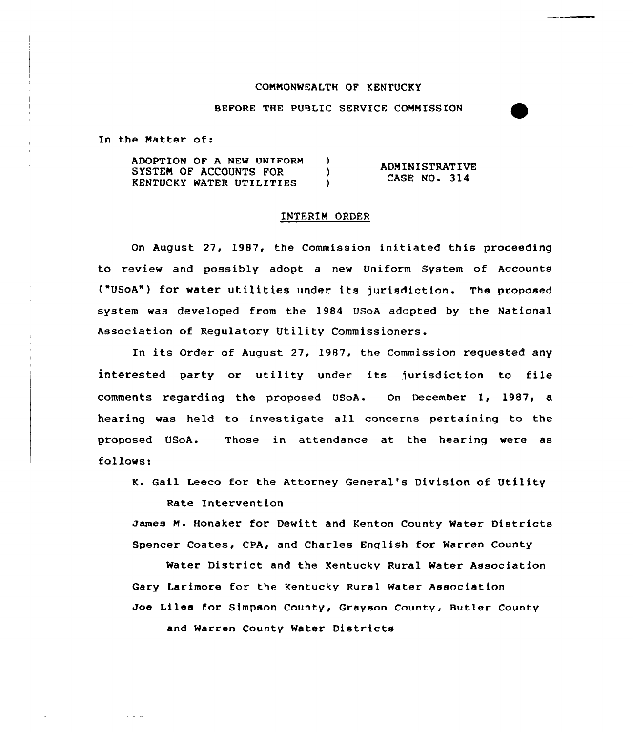## COMMONWEALTH OF KENTUCKY

BEFORE THE PUBLIC SERVICE COMMISSION

In the Matter of:

ADOPTION OF A NEW UNIFORM )<br>SYSTEM OF ACCOUNTS FOR ) SYSTEM OF ACCOUNTS FOR (3) KENTUCKY WATER UTILITIES ) ADMINISTRATIVE **CASE NO. 314** 

## INTERIM ORDER

On August 27, 1987, the Commission initiated this proceeding to review and passibly adopt a new Uniform System of Accounts ("USoA") for water utilities under its jurisdiction. The proposed system was developed from the 1984 USoA adopted by the National Association of Regulatory Utility Commissioners.

In its Order of August 27, 1987, the Commission requested any interested party or utility under its jurisdiction to file comments regarding the praposed USoA. On December 1, 1987, a hearing was held to investigate all concerns pertaining to the proposed USoA. Those in attendance at the hearing were as follows:

K. Gail Leeco for the Attorney General's Division of Utility

Rate Intervention

-----

the contract of the components of the con-

James M. Honaker for Dewitt and Kenton County Water Districts Spencer Coates, CPA, and Charles English for Warren County

Water District and the Kentucky Rural Water Association Gary Larimore for the Kentucky Rural Water Association Joe Liles for Simpson County, Grayson County, Butler County and Warren County Water Districts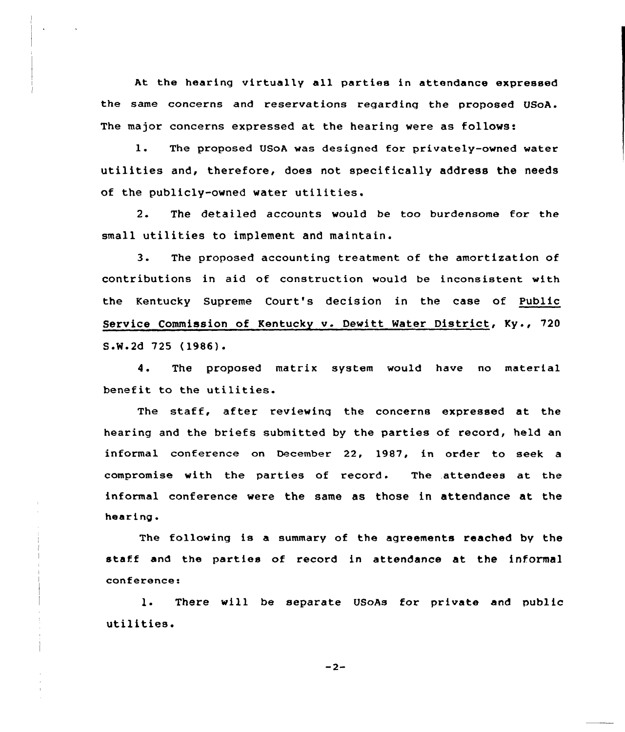At the hearing virtually all parties in attendance expressed the same concerns and reservations regarding the proposed USoA. The major concerns expressed at the hearing were as follows:

1. The proposed USoA was designed for privately-owned water utilities and, therefore, does not specifically address the needs of the publicly-owned water utilities.

2. The detailed accounts would be too burdensome for the small utilities to implement and maintain.

3. The proposed accounting treatment of the amortization of contributions in aid of construction would be inconsistent with the Kentucky Supreme Court's decision in the case of Public Service Commission of Kentucky v. Dewitt Water District, Ky., 720 SeW.2d 725 (1986).

4. The proposed matrix system would have no material benefit to the utilities.

The staff, after reviewinq the concerns expressed at the hearing and the briefs submitted by the parties of record, held an informal conference on December 22, 1987, in order to seek a compromise with the parties of record. The .attendees at the informal conference were the same as those in attendance at the hearing.

The following is a summary of the agreements reached by the staff and the parties of record in attendance at the informal conferences

1. There will be separate USoAs for private and public utilities.

 $-2-$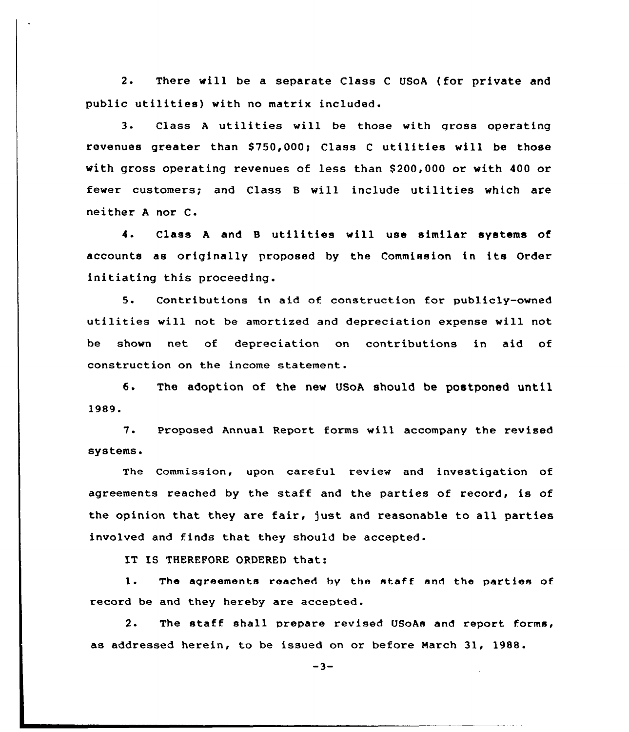2. There will be a separate Class <sup>C</sup> USoA (for private and public utilities) with no matrix included.

3. Class <sup>A</sup> utilities will be those with gross operating revenues greater than \$750,000; Class C utilities will be those with gross operating revenues of less than 8200,000 or with 400 or fewer customers; and Class <sup>B</sup> will include utilities which are neither <sup>A</sup> nor C.

4. Class <sup>A</sup> and <sup>B</sup> utilities will use similar systems of accounts as originally proposed by the Commission in its Order initiating this proceeding.

5. Contributions in aid of construction for publicly-owned utilities will not be amortized and depreciation expense vill not be shown net of depreciation on contributions in aid of construction on the income statement.

6. The adoption of the new USoA should be postponed until 1989.

7. Proposed Annual Report forms will accompany the revised systems <sup>~</sup>

The Commission, upon carefu1 review and investigation of agreements reached by the staff and the parties of record, is of the opinion that they are fair, just and reasonable to all parties involved and finds that they should be accepted.

IT IS THEREFORE ORDERED that:

1. The agreements reached by the staff and the parties of. record be and they hereby are accepted.

2. The staff shall prepare revised USoAs and report forms, as addressed herein, to be issued on or before March 31, 1988.

 $-3-$